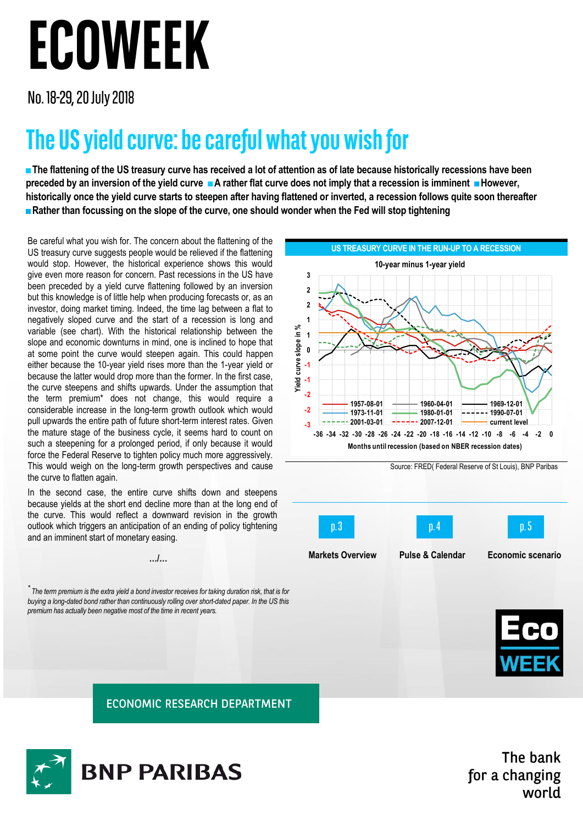## ECOWEEK

No. 18-29, 20 July 2018

## The US yield curve: be careful what you wish for

**■The flattening of the US treasury curve has received a lot of attention as of late because historically recessions have been preceded by an inversion of the yield curve ■A rather flat curve does not imply that a recession is imminent ■However, historically once the yield curve starts to steepen after having flattened or inverted, a recession follows quite soon thereafter ■Rather than focussing on the slope of the curve, one should wonder when the Fed will stop tightening**

Be careful what you wish for. The concern about the flattening of the US treasury curve suggests people would be relieved if the flattening would stop. However, the historical experience shows this would give even more reason for concern. Past recessions in the US have been preceded by a yield curve flattening followed by an inversion but this knowledge is of little help when producing forecasts or, as an investor, doing market timing. Indeed, the time lag between a flat to negatively sloped curve and the start of a recession is long and variable (see chart). With the historical relationship between the slope and economic downturns in mind, one is inclined to hope that at some point the curve would steepen again. This could happen either because the 10-year yield rises more than the 1-year yield or because the latter would drop more than the former. In the first case, the curve steepens and shifts upwards. Under the assumption that the term premium\* does not change, this would require a considerable increase in the long-term growth outlook which would pull upwards the entire path of future short-term interest rates. Given the mature stage of the business cycle, it seems hard to count on such a steepening for a prolonged period, if only because it would force the Federal Reserve to tighten policy much more aggressively. This would weigh on the long-term growth perspectives and cause the curve to flatten again.

In the second case, the entire curve shifts down and steepens because yields at the short end decline more than at the long end of the curve. This would reflect a downward revision in the growth outlook which triggers an anticipation of an ending of policy tightening and an imminent start of monetary easing.

**…/…**

 $\hat{a}$  The term premium is the extra yield a bond investor receives for taking duration risk, that is for *buying a long-dated bond rather than continuously rolling over short-dated paper. In the US this premium has actually been negative most of the time in recent years.*







**ECONOMIC RESEARCH DEPARTMENT** 



The bank for a changing world